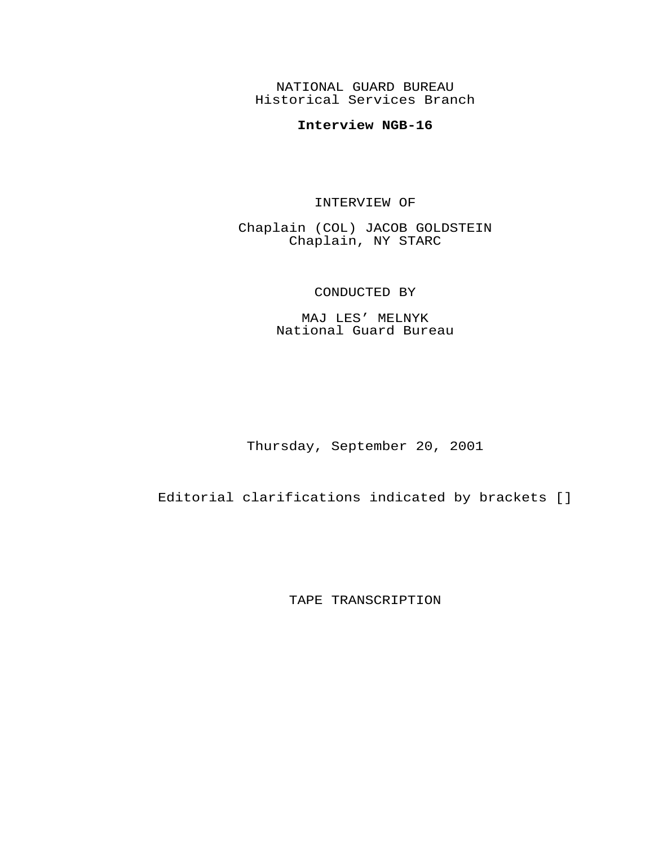NATIONAL GUARD BUREAU Historical Services Branch

## **Interview NGB-16**

## INTERVIEW OF

Chaplain (COL) JACOB GOLDSTEIN Chaplain, NY STARC

## CONDUCTED BY

MAJ LES' MELNYK National Guard Bureau

Thursday, September 20, 2001

Editorial clarifications indicated by brackets []

TAPE TRANSCRIPTION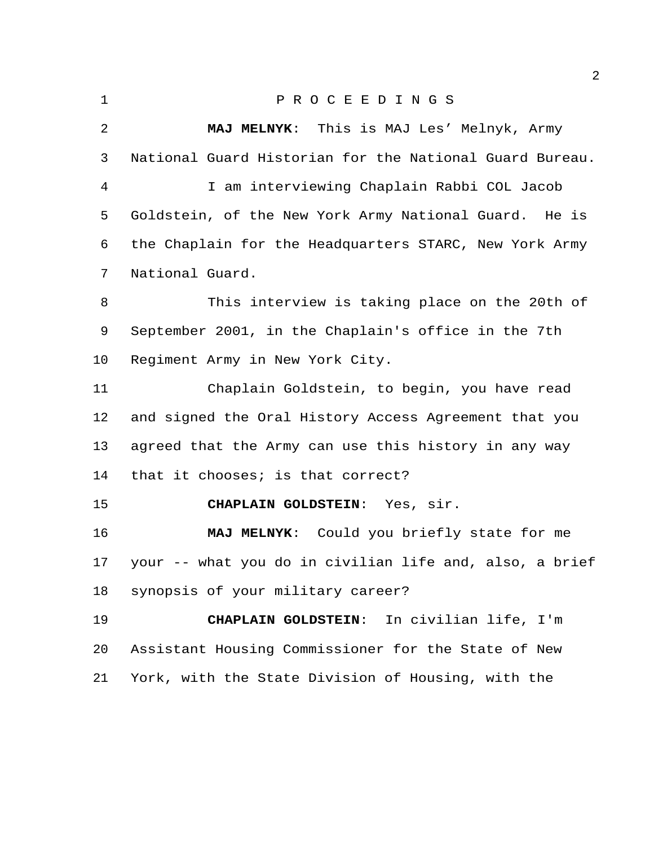| ٠ |  |
|---|--|
|   |  |
|   |  |

## P R O C E E D I N G S

 **MAJ MELNYK**: This is MAJ Les' Melnyk, Army National Guard Historian for the National Guard Bureau. I am interviewing Chaplain Rabbi COL Jacob Goldstein, of the New York Army National Guard. He is the Chaplain for the Headquarters STARC, New York Army National Guard. This interview is taking place on the 20th of September 2001, in the Chaplain's office in the 7th Regiment Army in New York City. Chaplain Goldstein, to begin, you have read and signed the Oral History Access Agreement that you agreed that the Army can use this history in any way that it chooses; is that correct? **CHAPLAIN GOLDSTEIN**: Yes, sir. **MAJ MELNYK**: Could you briefly state for me your -- what you do in civilian life and, also, a brief synopsis of your military career? **CHAPLAIN GOLDSTEIN**: In civilian life, I'm Assistant Housing Commissioner for the State of New York, with the State Division of Housing, with the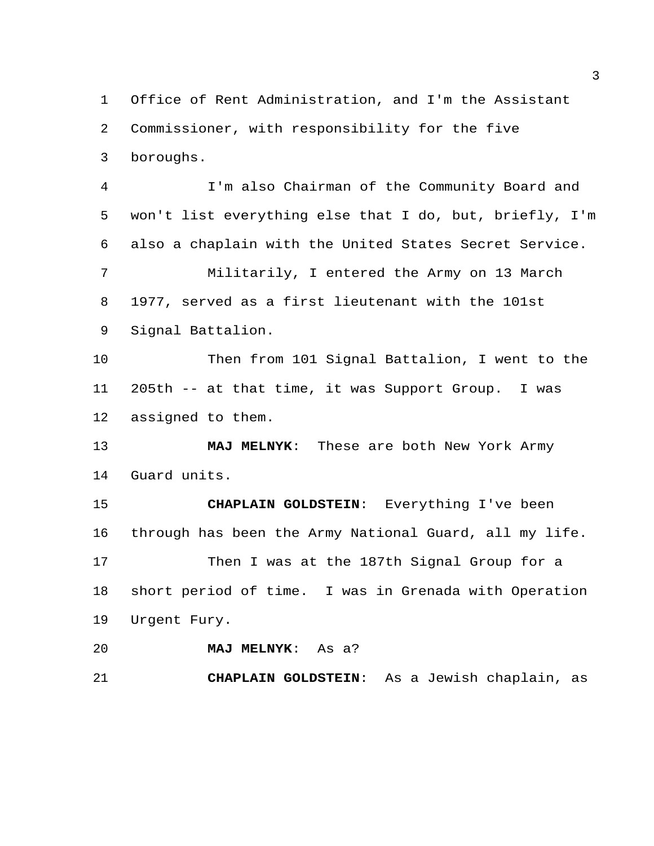Office of Rent Administration, and I'm the Assistant Commissioner, with responsibility for the five boroughs. I'm also Chairman of the Community Board and won't list everything else that I do, but, briefly, I'm also a chaplain with the United States Secret Service. Militarily, I entered the Army on 13 March 1977, served as a first lieutenant with the 101st Signal Battalion. Then from 101 Signal Battalion, I went to the 205th -- at that time, it was Support Group. I was assigned to them. **MAJ MELNYK**: These are both New York Army Guard units. **CHAPLAIN GOLDSTEIN**: Everything I've been through has been the Army National Guard, all my life. 17 Then I was at the 187th Signal Group for a short period of time. I was in Grenada with Operation Urgent Fury. **MAJ MELNYK**: As a? **CHAPLAIN GOLDSTEIN**: As a Jewish chaplain, as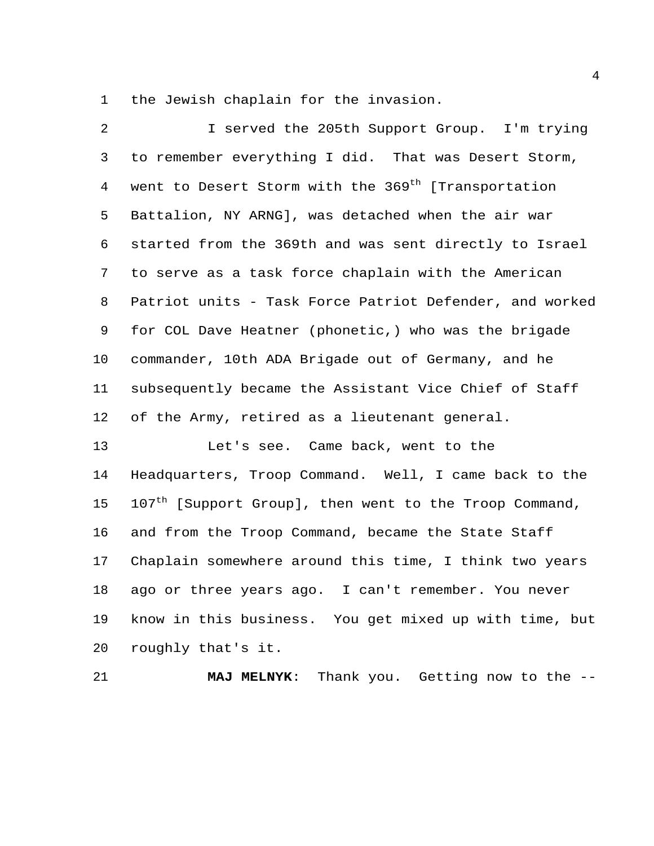the Jewish chaplain for the invasion.

 I served the 205th Support Group. I'm trying to remember everything I did. That was Desert Storm, 4 went to Desert Storm with the 369<sup>th</sup> [Transportation Battalion, NY ARNG], was detached when the air war started from the 369th and was sent directly to Israel to serve as a task force chaplain with the American Patriot units - Task Force Patriot Defender, and worked for COL Dave Heatner (phonetic,) who was the brigade commander, 10th ADA Brigade out of Germany, and he subsequently became the Assistant Vice Chief of Staff of the Army, retired as a lieutenant general. Let's see. Came back, went to the Headquarters, Troop Command. Well, I came back to the 15 107<sup>th</sup> [Support Group], then went to the Troop Command, and from the Troop Command, became the State Staff Chaplain somewhere around this time, I think two years ago or three years ago. I can't remember. You never know in this business. You get mixed up with time, but

roughly that's it.

**MAJ MELNYK**: Thank you. Getting now to the --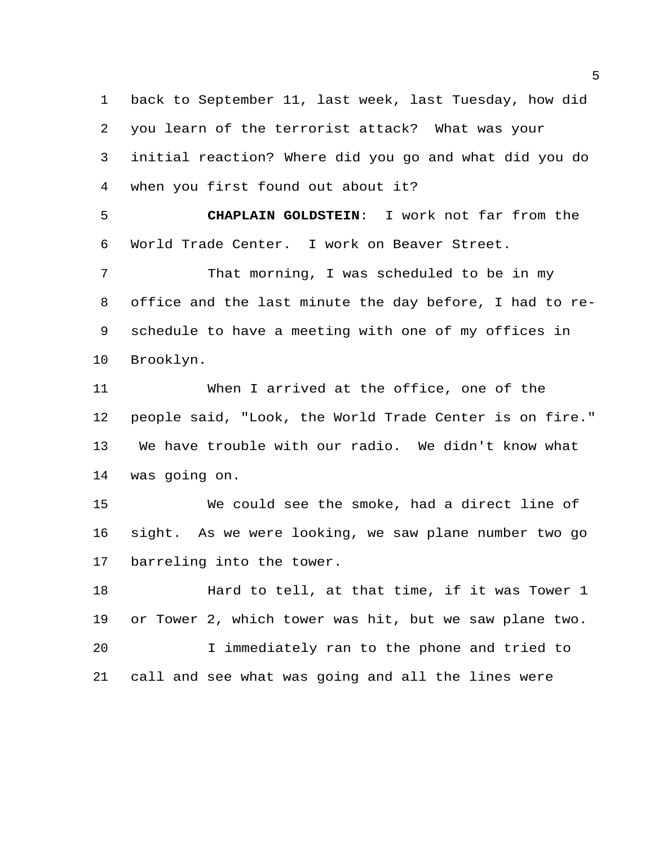back to September 11, last week, last Tuesday, how did you learn of the terrorist attack? What was your initial reaction? Where did you go and what did you do when you first found out about it?

 **CHAPLAIN GOLDSTEIN**: I work not far from the World Trade Center. I work on Beaver Street.

 That morning, I was scheduled to be in my office and the last minute the day before, I had to re- schedule to have a meeting with one of my offices in Brooklyn.

 When I arrived at the office, one of the people said, "Look, the World Trade Center is on fire." We have trouble with our radio. We didn't know what was going on.

 We could see the smoke, had a direct line of sight. As we were looking, we saw plane number two go barreling into the tower.

**Hard to tell, at that time, if it was Tower** 1 or Tower 2, which tower was hit, but we saw plane two. I immediately ran to the phone and tried to

call and see what was going and all the lines were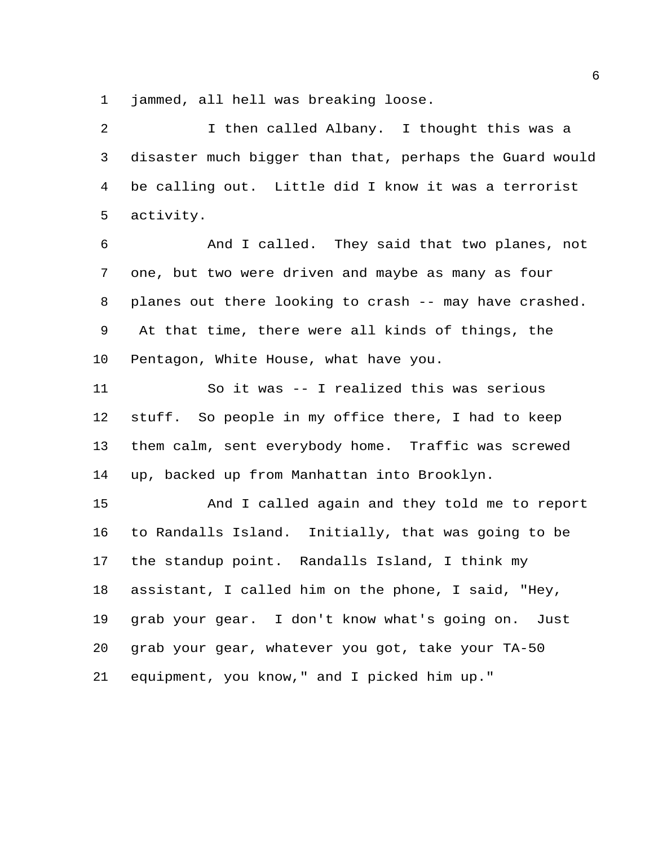jammed, all hell was breaking loose.

2 1 then called Albany. I thought this was a disaster much bigger than that, perhaps the Guard would be calling out. Little did I know it was a terrorist activity.

 And I called. They said that two planes, not one, but two were driven and maybe as many as four planes out there looking to crash -- may have crashed. At that time, there were all kinds of things, the Pentagon, White House, what have you.

 So it was -- I realized this was serious stuff. So people in my office there, I had to keep them calm, sent everybody home. Traffic was screwed up, backed up from Manhattan into Brooklyn.

 And I called again and they told me to report to Randalls Island. Initially, that was going to be the standup point. Randalls Island, I think my assistant, I called him on the phone, I said, "Hey, grab your gear. I don't know what's going on. Just grab your gear, whatever you got, take your TA-50 equipment, you know," and I picked him up."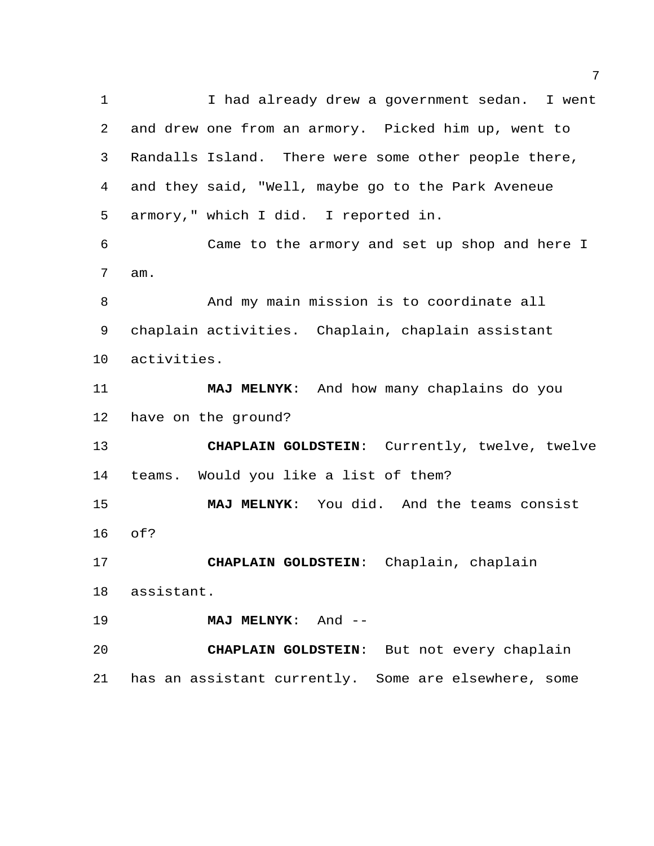I had already drew a government sedan. I went and drew one from an armory. Picked him up, went to Randalls Island. There were some other people there, and they said, "Well, maybe go to the Park Aveneue armory," which I did. I reported in. Came to the armory and set up shop and here I am. And my main mission is to coordinate all chaplain activities. Chaplain, chaplain assistant activities. **MAJ MELNYK**: And how many chaplains do you have on the ground? **CHAPLAIN GOLDSTEIN**: Currently, twelve, twelve teams. Would you like a list of them? **MAJ MELNYK**: You did. And the teams consist of? **CHAPLAIN GOLDSTEIN**: Chaplain, chaplain assistant. **MAJ MELNYK**: And -- **CHAPLAIN GOLDSTEIN**: But not every chaplain has an assistant currently. Some are elsewhere, some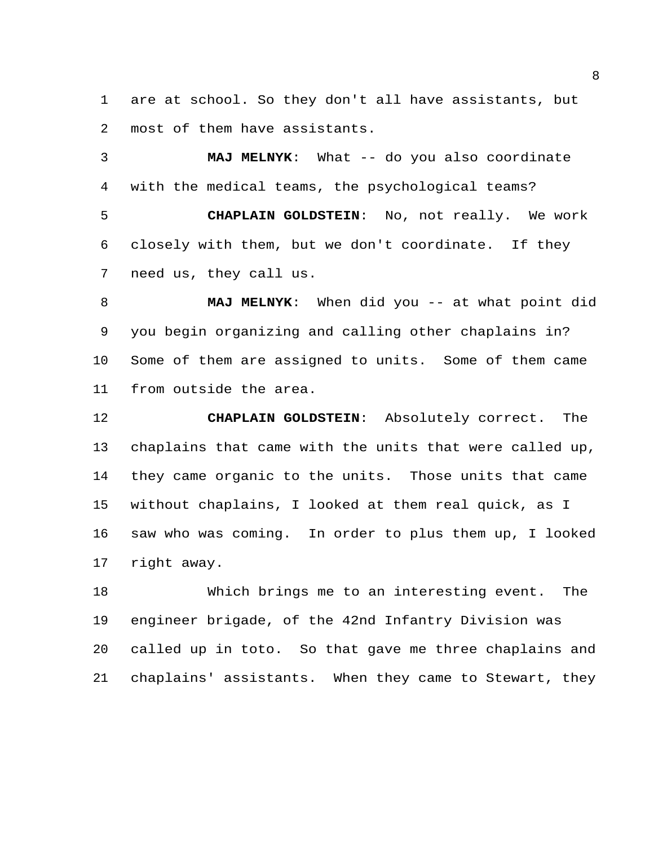are at school. So they don't all have assistants, but most of them have assistants.

 **MAJ MELNYK**: What -- do you also coordinate with the medical teams, the psychological teams? **CHAPLAIN GOLDSTEIN**: No, not really. We work closely with them, but we don't coordinate. If they need us, they call us.

 **MAJ MELNYK**: When did you -- at what point did you begin organizing and calling other chaplains in? Some of them are assigned to units. Some of them came from outside the area.

 **CHAPLAIN GOLDSTEIN**: Absolutely correct. The chaplains that came with the units that were called up, they came organic to the units. Those units that came without chaplains, I looked at them real quick, as I saw who was coming. In order to plus them up, I looked right away.

 Which brings me to an interesting event. The engineer brigade, of the 42nd Infantry Division was called up in toto. So that gave me three chaplains and chaplains' assistants. When they came to Stewart, they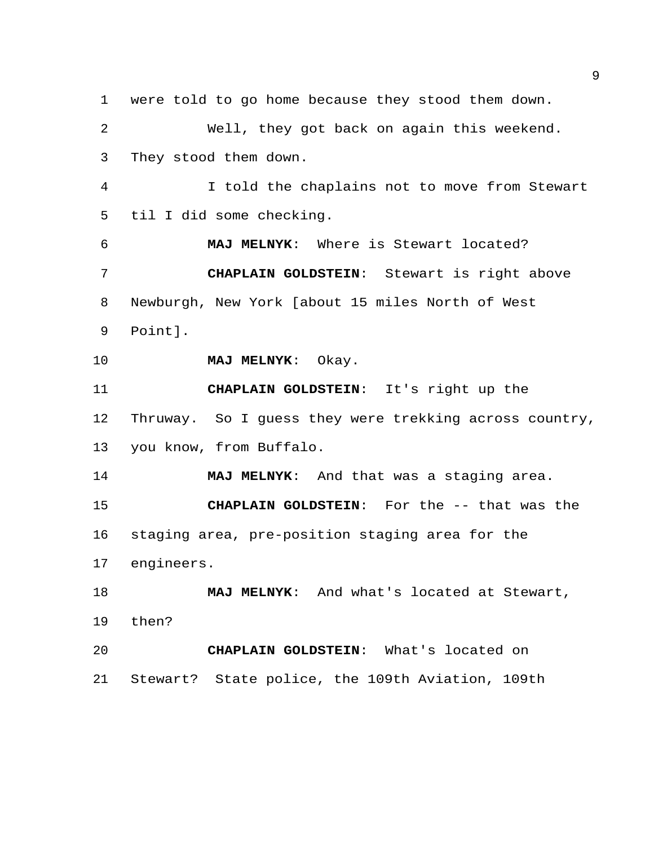were told to go home because they stood them down. Well, they got back on again this weekend. They stood them down. I told the chaplains not to move from Stewart til I did some checking. **MAJ MELNYK**: Where is Stewart located? **CHAPLAIN GOLDSTEIN**: Stewart is right above Newburgh, New York [about 15 miles North of West Point]. **MAJ MELNYK**: Okay. **CHAPLAIN GOLDSTEIN**: It's right up the Thruway. So I guess they were trekking across country, you know, from Buffalo. **MAJ MELNYK**: And that was a staging area. **CHAPLAIN GOLDSTEIN**: For the -- that was the staging area, pre-position staging area for the engineers. **MAJ MELNYK**: And what's located at Stewart, then? **CHAPLAIN GOLDSTEIN**: What's located on Stewart? State police, the 109th Aviation, 109th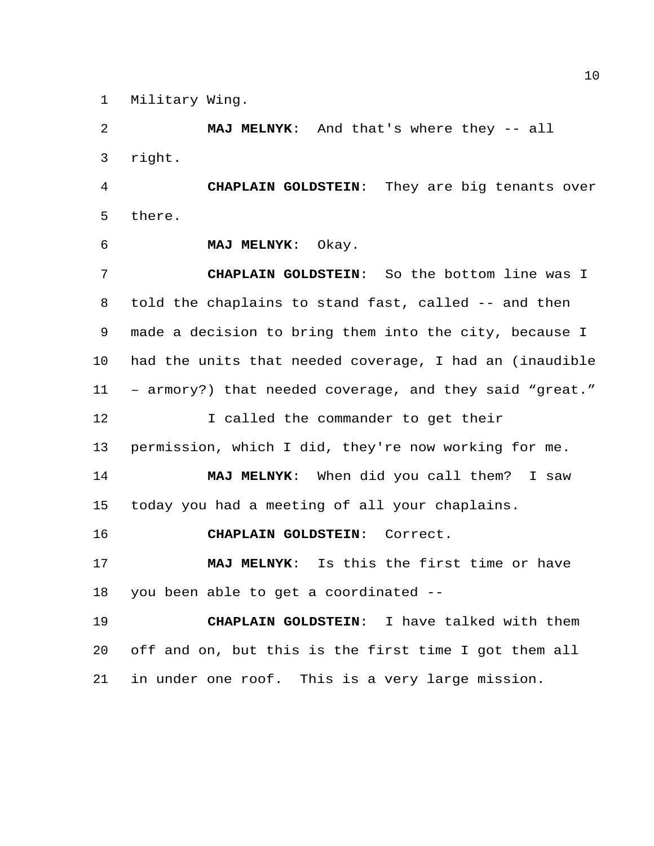Military Wing.

 **MAJ MELNYK**: And that's where they -- all right.

 **CHAPLAIN GOLDSTEIN**: They are big tenants over there.

**MAJ MELNYK**: Okay.

 **CHAPLAIN GOLDSTEIN**: So the bottom line was I told the chaplains to stand fast, called -- and then made a decision to bring them into the city, because I had the units that needed coverage, I had an (inaudible – armory?) that needed coverage, and they said "great." 12 I called the commander to get their permission, which I did, they're now working for me. **MAJ MELNYK**: When did you call them? I saw today you had a meeting of all your chaplains.

**CHAPLAIN GOLDSTEIN**: Correct.

 **MAJ MELNYK**: Is this the first time or have you been able to get a coordinated --

 **CHAPLAIN GOLDSTEIN**: I have talked with them off and on, but this is the first time I got them all in under one roof. This is a very large mission.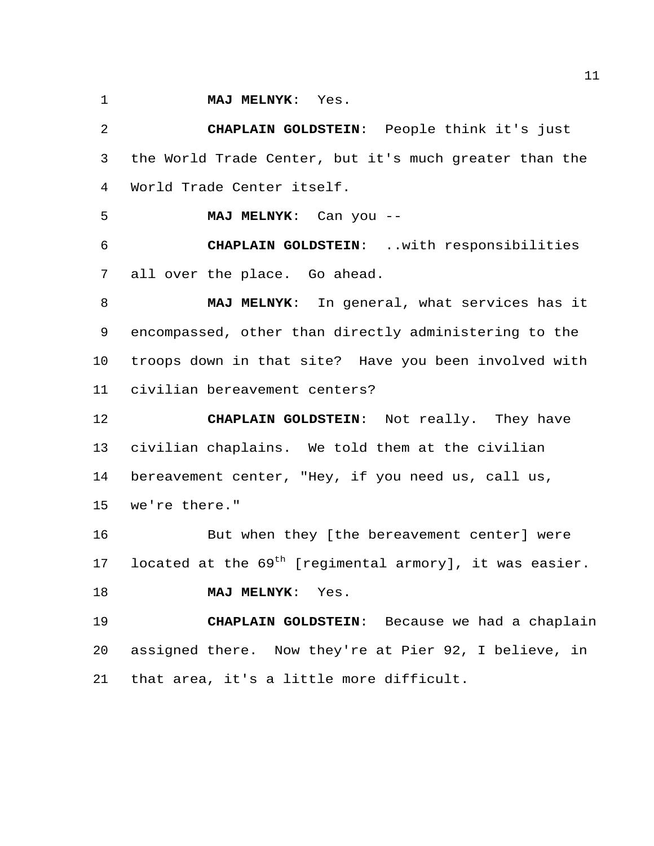**MAJ MELNYK**: Yes.

 **CHAPLAIN GOLDSTEIN**: People think it's just the World Trade Center, but it's much greater than the World Trade Center itself.

**MAJ MELNYK**: Can you --

 **CHAPLAIN GOLDSTEIN**: ..with responsibilities all over the place. Go ahead.

 **MAJ MELNYK**: In general, what services has it encompassed, other than directly administering to the troops down in that site? Have you been involved with civilian bereavement centers?

 **CHAPLAIN GOLDSTEIN**: Not really. They have civilian chaplains. We told them at the civilian bereavement center, "Hey, if you need us, call us, we're there."

 But when they [the bereavement center] were 17 located at the  $69<sup>th</sup>$  [regimental armory], it was easier.

**MAJ MELNYK**: Yes.

 **CHAPLAIN GOLDSTEIN**: Because we had a chaplain assigned there. Now they're at Pier 92, I believe, in that area, it's a little more difficult.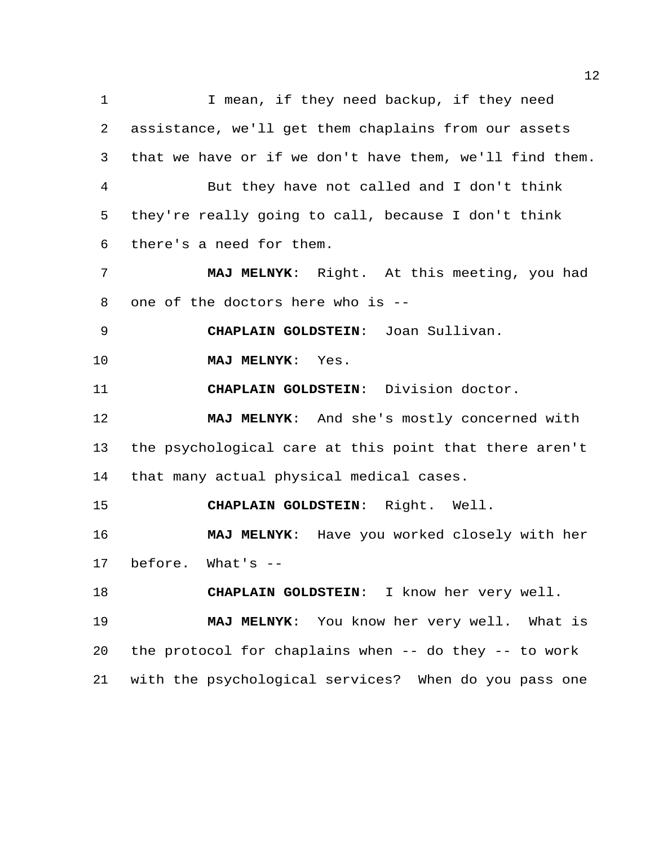1 I mean, if they need backup, if they need assistance, we'll get them chaplains from our assets that we have or if we don't have them, we'll find them. But they have not called and I don't think they're really going to call, because I don't think there's a need for them. **MAJ MELNYK**: Right. At this meeting, you had one of the doctors here who is -- **CHAPLAIN GOLDSTEIN**: Joan Sullivan. **MAJ MELNYK**: Yes. **CHAPLAIN GOLDSTEIN**: Division doctor. **MAJ MELNYK**: And she's mostly concerned with the psychological care at this point that there aren't that many actual physical medical cases. **CHAPLAIN GOLDSTEIN**: Right. Well. **MAJ MELNYK**: Have you worked closely with her before. What's -- **CHAPLAIN GOLDSTEIN**: I know her very well. **MAJ MELNYK**: You know her very well. What is the protocol for chaplains when -- do they -- to work with the psychological services? When do you pass one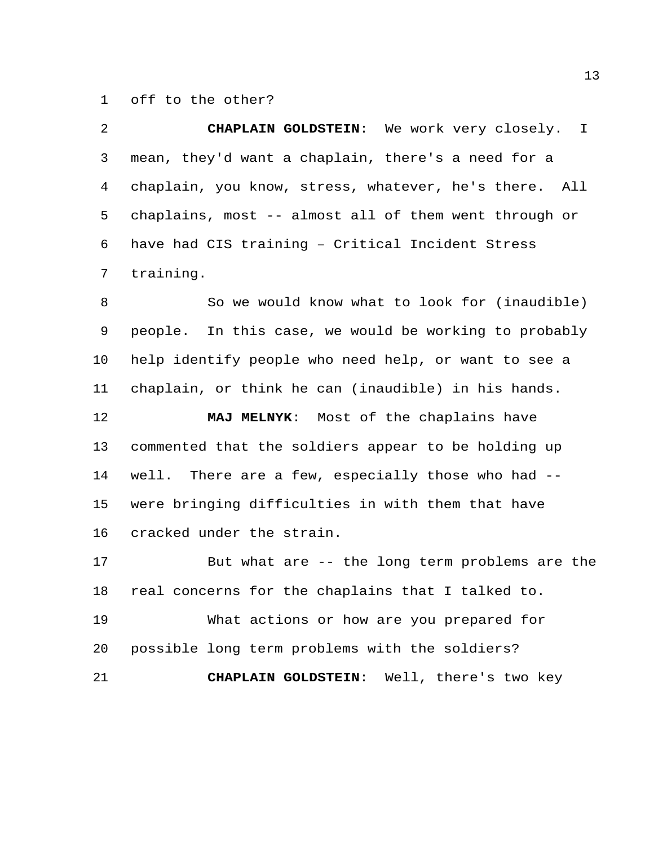off to the other?

 **CHAPLAIN GOLDSTEIN**: We work very closely. I mean, they'd want a chaplain, there's a need for a chaplain, you know, stress, whatever, he's there. All chaplains, most -- almost all of them went through or have had CIS training – Critical Incident Stress training.

 So we would know what to look for (inaudible) people. In this case, we would be working to probably help identify people who need help, or want to see a chaplain, or think he can (inaudible) in his hands.

 **MAJ MELNYK**: Most of the chaplains have commented that the soldiers appear to be holding up well. There are a few, especially those who had -- were bringing difficulties in with them that have cracked under the strain.

 But what are -- the long term problems are the real concerns for the chaplains that I talked to.

 What actions or how are you prepared for possible long term problems with the soldiers?

**CHAPLAIN GOLDSTEIN**: Well, there's two key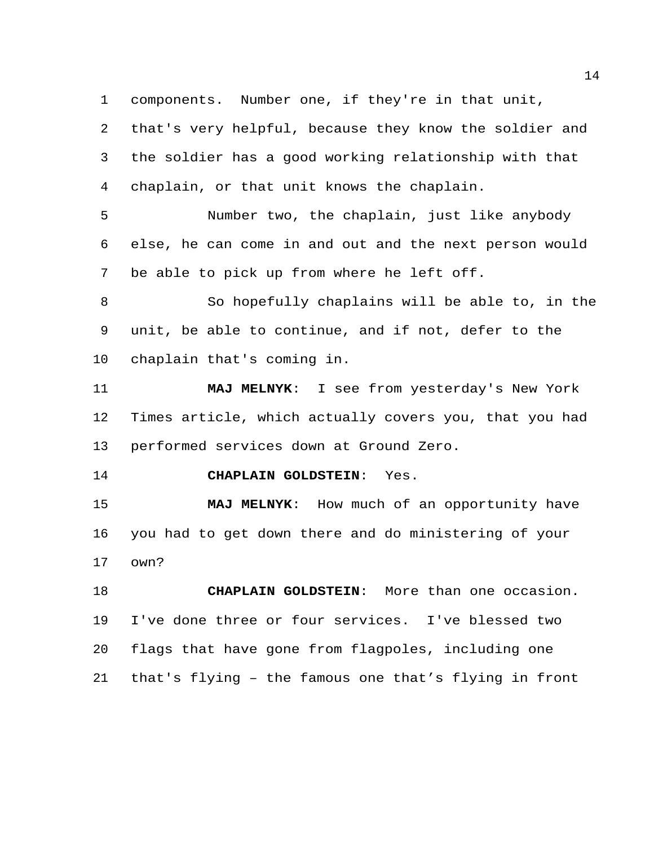components. Number one, if they're in that unit,

 that's very helpful, because they know the soldier and the soldier has a good working relationship with that chaplain, or that unit knows the chaplain.

 Number two, the chaplain, just like anybody else, he can come in and out and the next person would be able to pick up from where he left off.

 So hopefully chaplains will be able to, in the unit, be able to continue, and if not, defer to the chaplain that's coming in.

 **MAJ MELNYK**: I see from yesterday's New York Times article, which actually covers you, that you had performed services down at Ground Zero.

**CHAPLAIN GOLDSTEIN**: Yes.

 **MAJ MELNYK**: How much of an opportunity have you had to get down there and do ministering of your own?

 **CHAPLAIN GOLDSTEIN**: More than one occasion. I've done three or four services. I've blessed two flags that have gone from flagpoles, including one that's flying – the famous one that's flying in front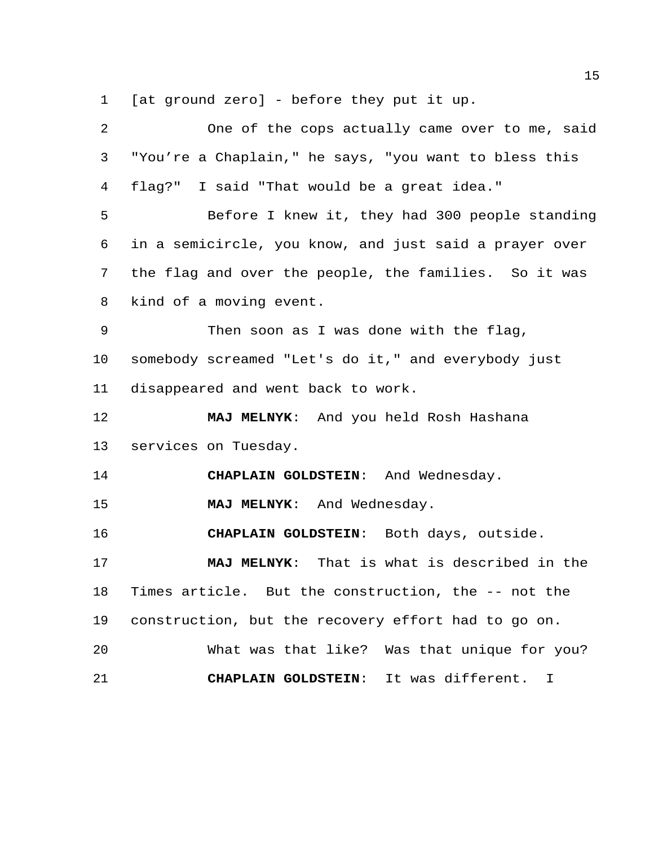[at ground zero] - before they put it up.

| 2  | One of the cops actually came over to me, said         |
|----|--------------------------------------------------------|
| 3  | "You're a Chaplain," he says, "you want to bless this  |
| 4  | flag?" I said "That would be a great idea."            |
| 5  | Before I knew it, they had 300 people standing         |
| 6  | in a semicircle, you know, and just said a prayer over |
| 7  | the flag and over the people, the families. So it was  |
| 8  | kind of a moving event.                                |
| 9  | Then soon as I was done with the flag,                 |
| 10 | somebody screamed "Let's do it," and everybody just    |
| 11 | disappeared and went back to work.                     |
| 12 |                                                        |
|    | MAJ MELNYK: And you held Rosh Hashana                  |
| 13 | services on Tuesday.                                   |
| 14 | CHAPLAIN GOLDSTEIN: And Wednesday.                     |
| 15 | MAJ MELNYK: And Wednesday.                             |
| 16 | CHAPLAIN GOLDSTEIN: Both days, outside.                |
| 17 | MAJ MELNYK: That is what is described in the           |
| 18 | Times article. But the construction, the -- not the    |
| 19 | construction, but the recovery effort had to go on.    |
| 20 | What was that like? Was that unique for you?           |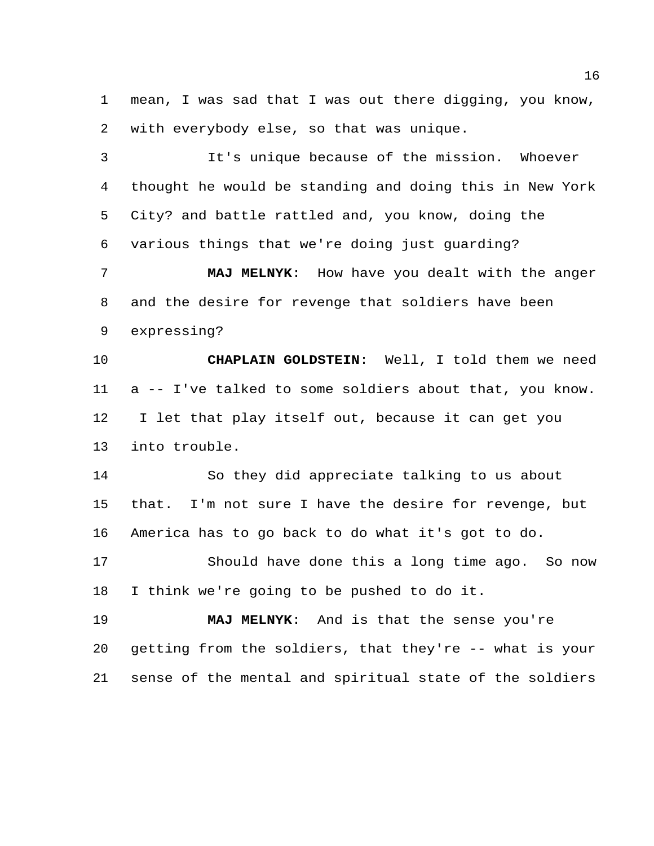mean, I was sad that I was out there digging, you know, with everybody else, so that was unique.

 It's unique because of the mission. Whoever thought he would be standing and doing this in New York City? and battle rattled and, you know, doing the various things that we're doing just guarding?

 **MAJ MELNYK**: How have you dealt with the anger and the desire for revenge that soldiers have been expressing?

 **CHAPLAIN GOLDSTEIN**: Well, I told them we need a -- I've talked to some soldiers about that, you know. I let that play itself out, because it can get you into trouble.

 So they did appreciate talking to us about that. I'm not sure I have the desire for revenge, but America has to go back to do what it's got to do.

 Should have done this a long time ago. So now I think we're going to be pushed to do it.

 **MAJ MELNYK**: And is that the sense you're getting from the soldiers, that they're -- what is your sense of the mental and spiritual state of the soldiers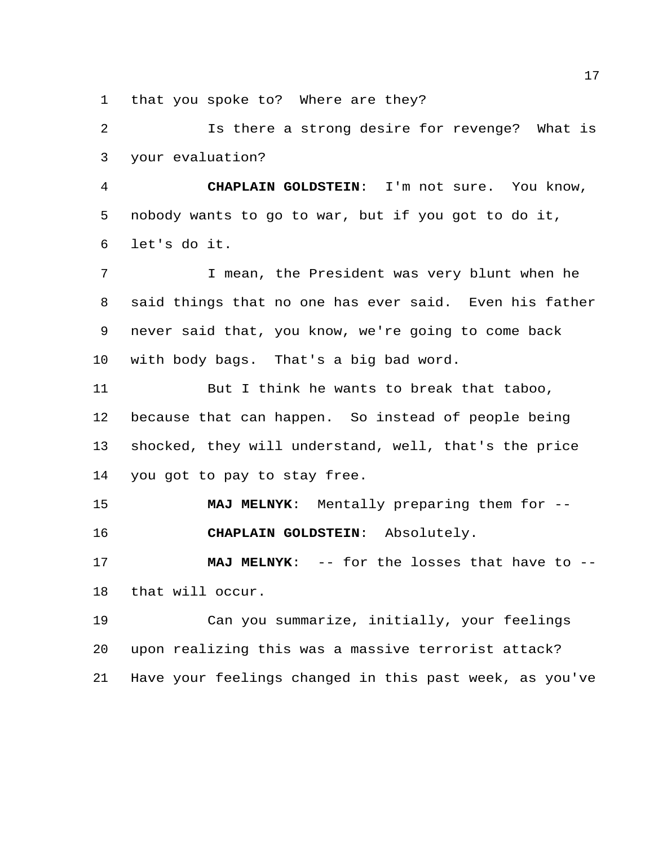that you spoke to? Where are they?

 Is there a strong desire for revenge? What is your evaluation?

 **CHAPLAIN GOLDSTEIN**: I'm not sure. You know, nobody wants to go to war, but if you got to do it, let's do it.

 I mean, the President was very blunt when he said things that no one has ever said. Even his father never said that, you know, we're going to come back with body bags. That's a big bad word.

11 But I think he wants to break that taboo, because that can happen. So instead of people being shocked, they will understand, well, that's the price you got to pay to stay free.

 **MAJ MELNYK**: Mentally preparing them for -- **CHAPLAIN GOLDSTEIN**: Absolutely.

 **MAJ MELNYK**: -- for the losses that have to -- that will occur.

 Can you summarize, initially, your feelings upon realizing this was a massive terrorist attack? Have your feelings changed in this past week, as you've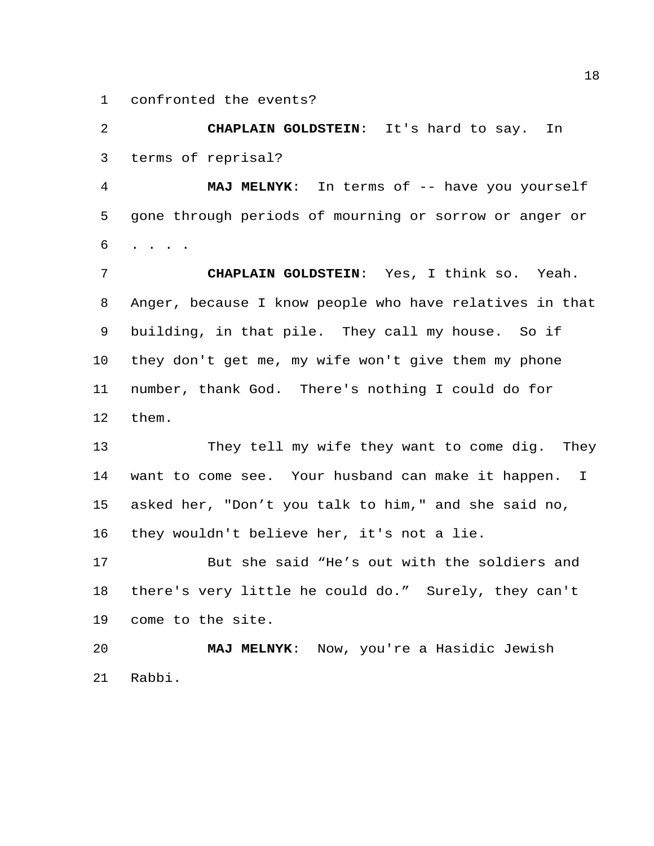confronted the events?

 **CHAPLAIN GOLDSTEIN**: It's hard to say. In terms of reprisal?

 **MAJ MELNYK**: In terms of -- have you yourself gone through periods of mourning or sorrow or anger or . . . .

 **CHAPLAIN GOLDSTEIN**: Yes, I think so. Yeah. Anger, because I know people who have relatives in that building, in that pile. They call my house. So if they don't get me, my wife won't give them my phone number, thank God. There's nothing I could do for them.

 They tell my wife they want to come dig. They want to come see. Your husband can make it happen. I asked her, "Don't you talk to him," and she said no, they wouldn't believe her, it's not a lie.

 But she said "He's out with the soldiers and there's very little he could do." Surely, they can't come to the site.

 **MAJ MELNYK**: Now, you're a Hasidic Jewish Rabbi.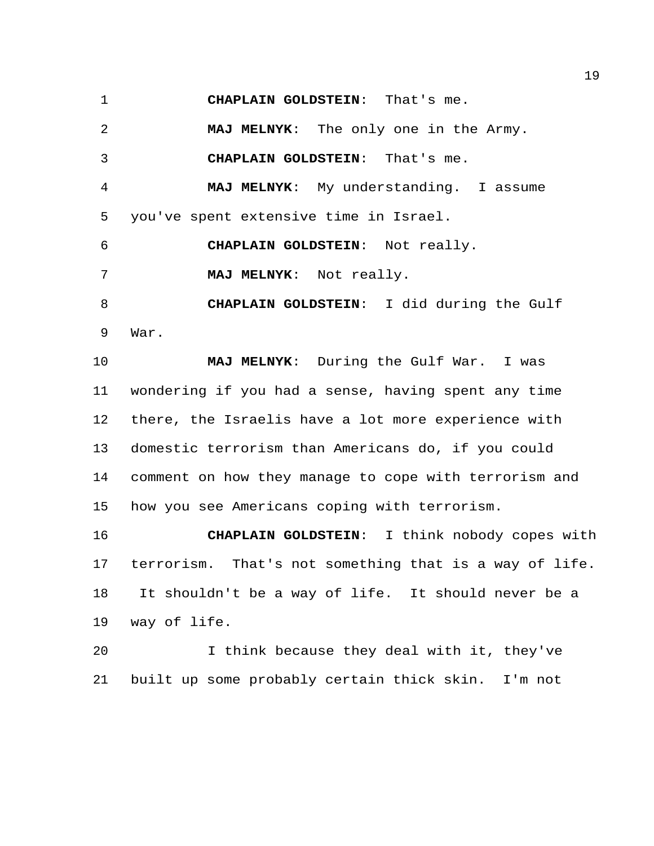**CHAPLAIN GOLDSTEIN**: That's me.

 **MAJ MELNYK**: The only one in the Army. **CHAPLAIN GOLDSTEIN**: That's me. **MAJ MELNYK**: My understanding. I assume you've spent extensive time in Israel. **CHAPLAIN GOLDSTEIN**: Not really. **MAJ MELNYK**: Not really. **CHAPLAIN GOLDSTEIN**: I did during the Gulf War. **MAJ MELNYK**: During the Gulf War. I was wondering if you had a sense, having spent any time there, the Israelis have a lot more experience with domestic terrorism than Americans do, if you could comment on how they manage to cope with terrorism and how you see Americans coping with terrorism.

 **CHAPLAIN GOLDSTEIN**: I think nobody copes with terrorism. That's not something that is a way of life. It shouldn't be a way of life. It should never be a way of life.

 I think because they deal with it, they've built up some probably certain thick skin. I'm not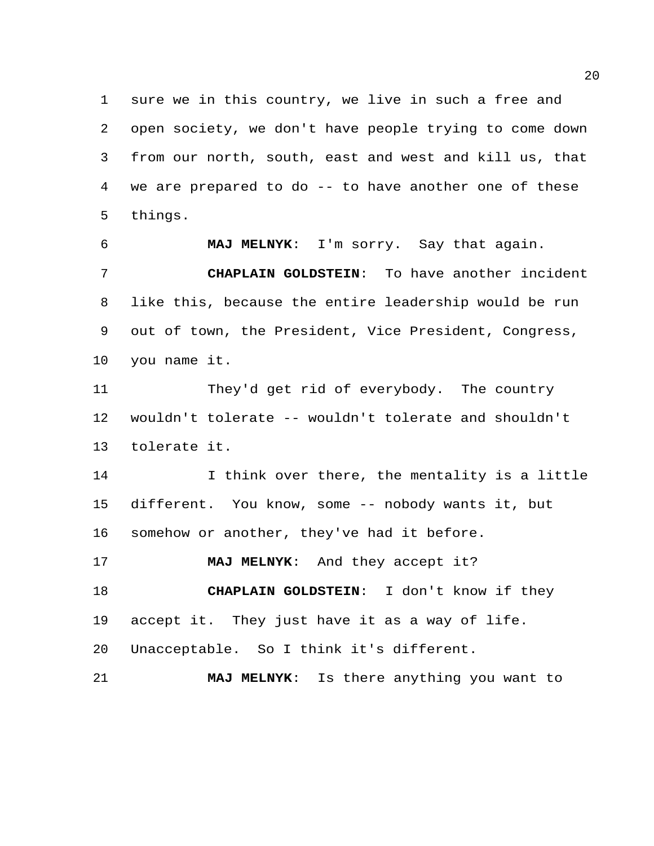sure we in this country, we live in such a free and open society, we don't have people trying to come down from our north, south, east and west and kill us, that we are prepared to do -- to have another one of these things.

 **MAJ MELNYK**: I'm sorry. Say that again. **CHAPLAIN GOLDSTEIN**: To have another incident like this, because the entire leadership would be run out of town, the President, Vice President, Congress, you name it.

 They'd get rid of everybody. The country wouldn't tolerate -- wouldn't tolerate and shouldn't tolerate it.

 I think over there, the mentality is a little different. You know, some -- nobody wants it, but somehow or another, they've had it before.

**MAJ MELNYK**: And they accept it?

 **CHAPLAIN GOLDSTEIN**: I don't know if they accept it. They just have it as a way of life.

Unacceptable. So I think it's different.

**MAJ MELNYK**: Is there anything you want to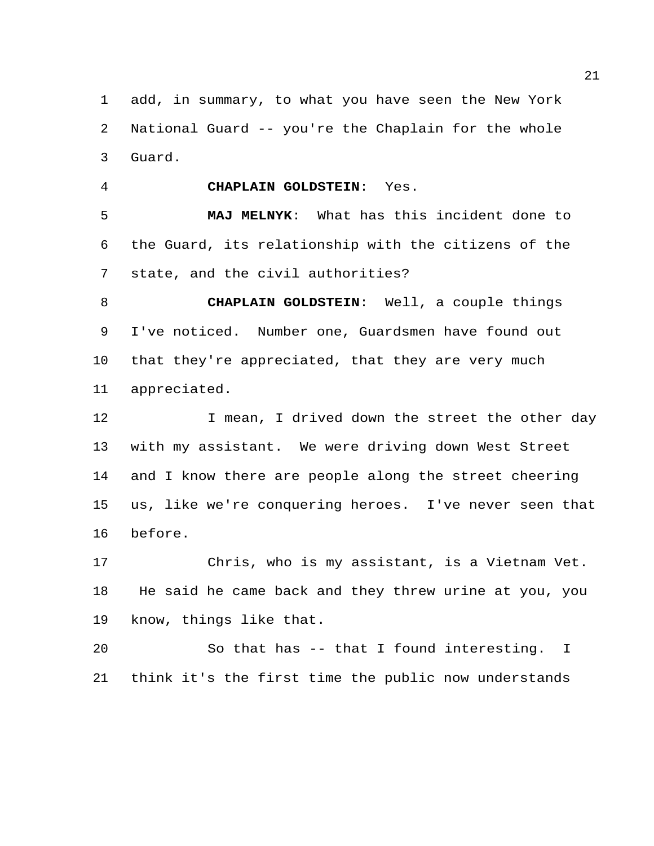add, in summary, to what you have seen the New York National Guard -- you're the Chaplain for the whole Guard.

**CHAPLAIN GOLDSTEIN**: Yes.

 **MAJ MELNYK**: What has this incident done to the Guard, its relationship with the citizens of the state, and the civil authorities?

 **CHAPLAIN GOLDSTEIN**: Well, a couple things I've noticed. Number one, Guardsmen have found out that they're appreciated, that they are very much appreciated.

12 I mean, I drived down the street the other day with my assistant. We were driving down West Street and I know there are people along the street cheering us, like we're conquering heroes. I've never seen that before.

 Chris, who is my assistant, is a Vietnam Vet. He said he came back and they threw urine at you, you know, things like that.

 So that has -- that I found interesting. I think it's the first time the public now understands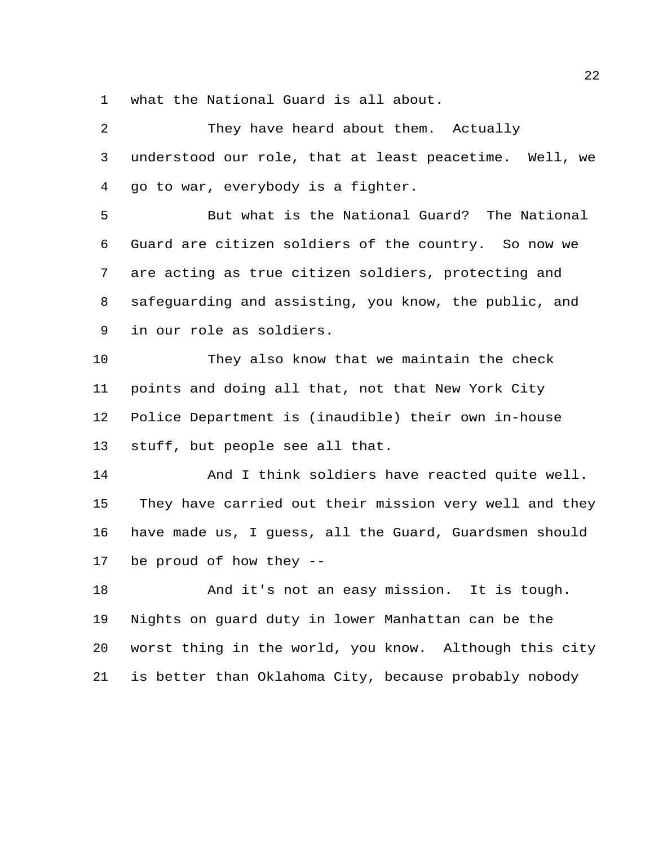what the National Guard is all about.

2 They have heard about them. Actually understood our role, that at least peacetime. Well, we go to war, everybody is a fighter. But what is the National Guard? The National Guard are citizen soldiers of the country. So now we are acting as true citizen soldiers, protecting and safeguarding and assisting, you know, the public, and in our role as soldiers. They also know that we maintain the check points and doing all that, not that New York City Police Department is (inaudible) their own in-house stuff, but people see all that. And I think soldiers have reacted quite well. They have carried out their mission very well and they have made us, I guess, all the Guard, Guardsmen should be proud of how they -- And it's not an easy mission. It is tough. Nights on guard duty in lower Manhattan can be the worst thing in the world, you know. Although this city

is better than Oklahoma City, because probably nobody